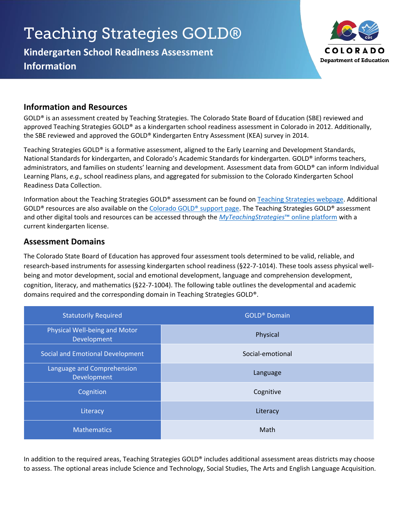# **Teaching Strategies GOLD®**

**Kindergarten School Readiness Assessment Information**



## **Information and Resources**

GOLD® is an assessment created by Teaching Strategies. The Colorado State Board of Education (SBE) reviewed and approved Teaching Strategies GOLD® as a kindergarten school readiness assessment in Colorado in 2012. Additionally, the SBE reviewed and approved the GOLD® Kindergarten Entry Assessment (KEA) survey in 2014.

Teaching Strategies GOLD® is a formative assessment, aligned to the Early Learning and Development Standards, National Standards for kindergarten, and Colorado's Academic Standards for kindergarten. GOLD® informs teachers, administrators, and families on students' learning and development. Assessment data from GOLD® can inform Individual Learning Plans, *e.g.,* school readiness plans, and aggregated for submission to the Colorado Kindergarten School Readiness Data Collection.

Information about the Teaching Strategies GOLD® assessment can be found on [Teaching Strategies webpage.](https://teachingstrategies.com/) Additional GOLD® resources are also available on th[e Colorado GOLD® support page.](https://teachingstrategies.com/gold-support-for-colorado-educators/) The Teaching Strategies GOLD® assessment and other digital tools and resources can be accessed through the *[MyTeachingStrategies](https://my.teachingstrategies.com/)*™ online platform with a current kindergarten license.

## **Assessment Domains**

The Colorado State Board of Education has approved four assessment tools determined to be valid, reliable, and research-based instruments for assessing kindergarten school readiness (§22-7-1014). These tools assess physical wellbeing and motor development, social and emotional development, language and comprehension development, cognition, literacy, and mathematics (§22-7-1004). The following table outlines the developmental and academic domains required and the corresponding domain in Teaching Strategies GOLD®.

| <b>Statutorily Required</b>                  | <b>GOLD®</b> Domain |
|----------------------------------------------|---------------------|
| Physical Well-being and Motor<br>Development | Physical            |
| Social and Emotional Development             | Social-emotional    |
| Language and Comprehension<br>Development    | Language            |
| Cognition                                    | Cognitive           |
| Literacy                                     | Literacy            |
| <b>Mathematics</b>                           | Math                |

In addition to the required areas, Teaching Strategies GOLD® includes additional assessment areas districts may choose to assess. The optional areas include Science and Technology, Social Studies, The Arts and English Language Acquisition.